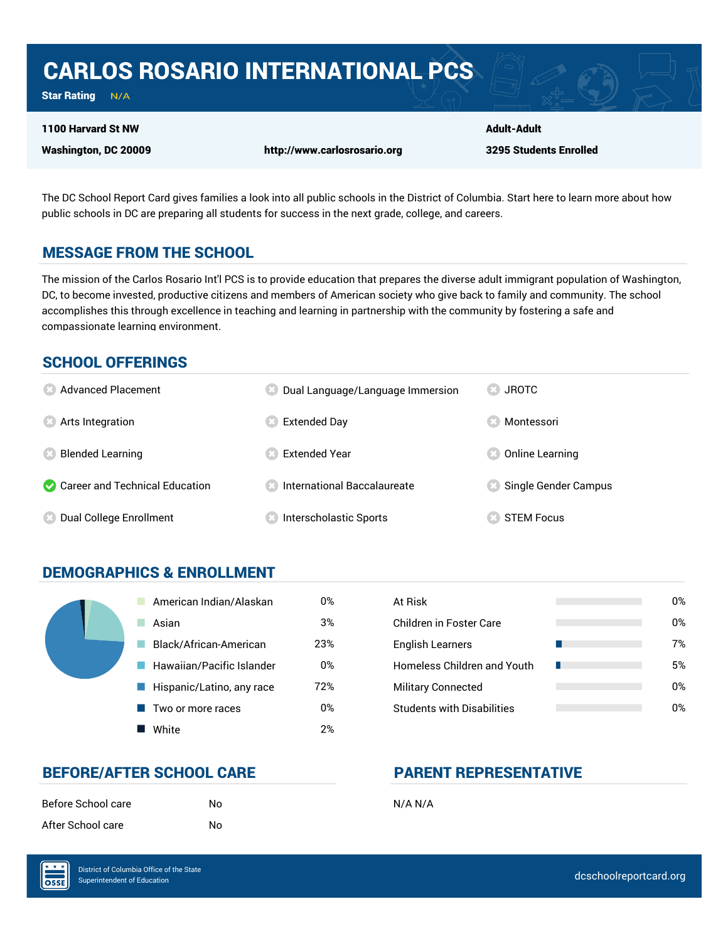# CARLOS ROSARIO INTERNATIONAL PCS

Star Rating  $N/A$ 

#### 1100 Harvard St NW

Washington, DC 20009 http://www.carlosrosario.org

Adult-Adult 3295 Students Enrolled

The DC School Report Card gives families a look into all public schools in the District of Columbia. Start here to learn more about how public schools in DC are preparing all students for success in the next grade, college, and careers.

## MESSAGE FROM THE SCHOOL

The mission of the Carlos Rosario Int'l PCS is to provide education that prepares the diverse adult immigrant population of Washington, DC, to become invested, productive citizens and members of American society who give back to family and community. The school accomplishes this through excellence in teaching and learning in partnership with the community by fostering a safe and compassionate learning environment.

## SCHOOL OFFERINGS

| <b>8</b> Advanced Placement      | Dual Language/Language Immersion     | <b>JROTC</b>         |
|----------------------------------|--------------------------------------|----------------------|
| <b>8</b> Arts Integration        | <b>Extended Day</b>                  | Montessori           |
| <b>Blended Learning</b>          | <b>Extended Year</b>                 | Online Learning      |
| Career and Technical Education   | <b>8</b> International Baccalaureate | Single Gender Campus |
| <b>8</b> Dual College Enrollment | Interscholastic Sports               | <b>STEM Focus</b>    |

## DEMOGRAPHICS & ENROLLMENT

| American Indian/Alaskan   | 0%  | At Risk                            |
|---------------------------|-----|------------------------------------|
| Asian                     | 3%  | <b>Children in Foster Care</b>     |
| Black/African-American    | 23% | <b>English Learners</b>            |
| Hawaiian/Pacific Islander | 0%  | <b>Homeless Children and Youth</b> |
| Hispanic/Latino, any race | 72% | <b>Military Connected</b>          |
| Two or more races         | 0%  | <b>Students with Disabilities</b>  |
| White                     | 2%  |                                    |

| At Risk                           | 0% |
|-----------------------------------|----|
| Children in Foster Care           | 0% |
| <b>English Learners</b>           | 7% |
| Homeless Children and Youth       | 5% |
| <b>Military Connected</b>         | 0% |
| <b>Students with Disabilities</b> | በ% |

## BEFORE/AFTER SCHOOL CARE PARENT REPRESENTATIVE

| Before School care | No | N/A N/A |
|--------------------|----|---------|
| After School care  | No |         |

OSSE